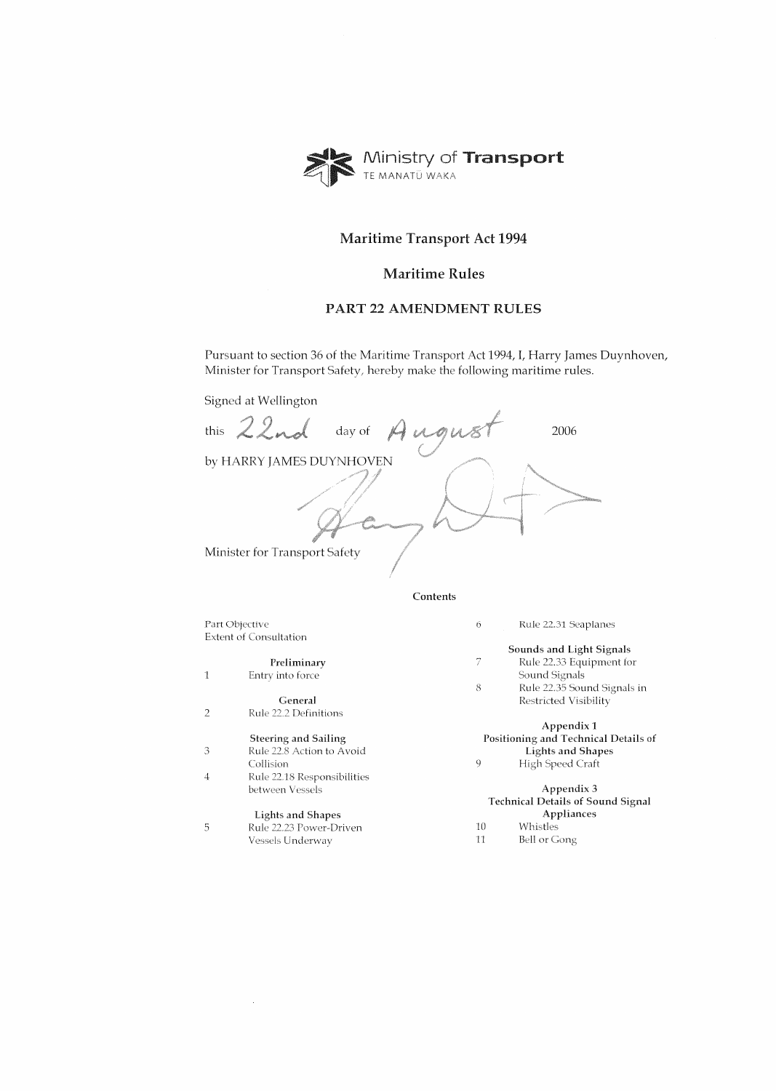

## **Maritime Transport Act 1994**

## **Maritime Rules**

#### PART 22 AMENDMENT RULES

Pursuant to section 36 of the Maritime Transport Act 1994, I, Harry James Duynhoven, Minister for Transport Safety, hereby make the following maritime rules.

Signed at Wellington

| 22nd<br>this                                              | day of | Angus    | 2006                                         |
|-----------------------------------------------------------|--------|----------|----------------------------------------------|
| by HARRY JAMES DUYNHOVEN<br>Minister for Transport Safety |        |          |                                              |
|                                                           |        | Contents |                                              |
| Part Objective<br><b>Extent of Consultation</b>           |        | 6        | Rule 22.31 Seaplanes                         |
| Preliminary                                               |        |          | Sounds and Light Sigr<br>Rule 22.33 Equipmer |

Preliminary

 $\overline{1}$ 

 $\overline{3}$ 

 $\overline{4}$ 

Entry into force

General  $\overline{2}$ Rule 22.2 Definitions

#### **Steering and Sailing**

- Rule 22.8 Action to Avoid
- Collision Rule 22.18 Responsibilities
- between Vessels

## **Lights and Shapes**

 $\overline{5}$ Rule 22.23 Power-Driven Vessels Underway

 $\mathcal{A}$ 

#### nals

- Rule 22.33 Equipment for Sound Signals
- Rule 22.35 Sound Signals in  $\,8\,$ Restricted Visibility

#### Appendix 1 Positioning and Technical Details of Lights and Shapes

#### High Speed Craft

# Appendix 3

#### Technical Details of Sound Signal Appliances

 $10^{\circ}$ Whistles

 $\overline{9}$ 

 $11\,$ **Bell or Gong**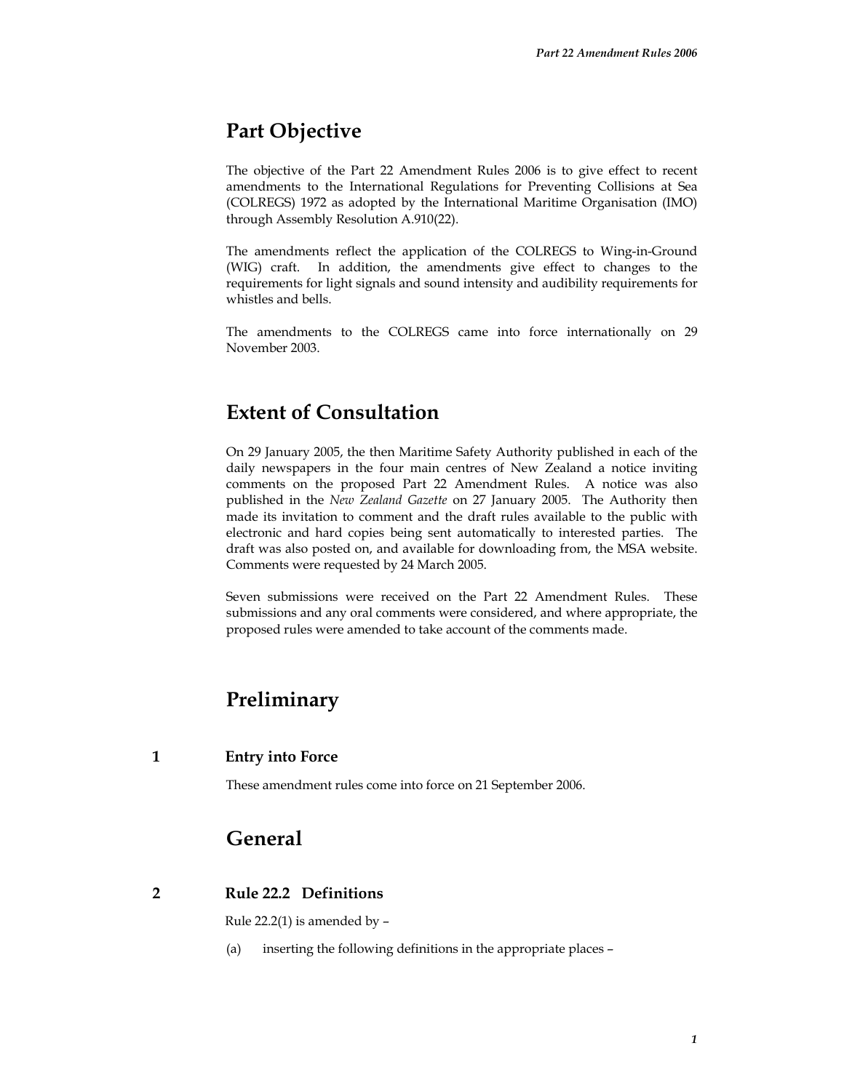# **Part Objective**

The objective of the Part 22 Amendment Rules 2006 is to give effect to recent amendments to the International Regulations for Preventing Collisions at Sea (COLREGS) 1972 as adopted by the International Maritime Organisation (IMO) through Assembly Resolution A.910(22).

The amendments reflect the application of the COLREGS to Wing-in-Ground (WIG) craft. In addition, the amendments give effect to changes to the requirements for light signals and sound intensity and audibility requirements for whistles and bells.

The amendments to the COLREGS came into force internationally on 29 November 2003.

# **Extent of Consultation**

On 29 January 2005, the then Maritime Safety Authority published in each of the daily newspapers in the four main centres of New Zealand a notice inviting comments on the proposed Part 22 Amendment Rules. A notice was also published in the *New Zealand Gazette* on 27 January 2005. The Authority then made its invitation to comment and the draft rules available to the public with electronic and hard copies being sent automatically to interested parties. The draft was also posted on, and available for downloading from, the MSA website. Comments were requested by 24 March 2005.

Seven submissions were received on the Part 22 Amendment Rules. These submissions and any oral comments were considered, and where appropriate, the proposed rules were amended to take account of the comments made.

# **Preliminary**

## **1 Entry into Force**

These amendment rules come into force on 21 September 2006.

# **General**

## **2 Rule 22.2 Definitions**

Rule  $22.2(1)$  is amended by  $-$ 

(a) inserting the following definitions in the appropriate places –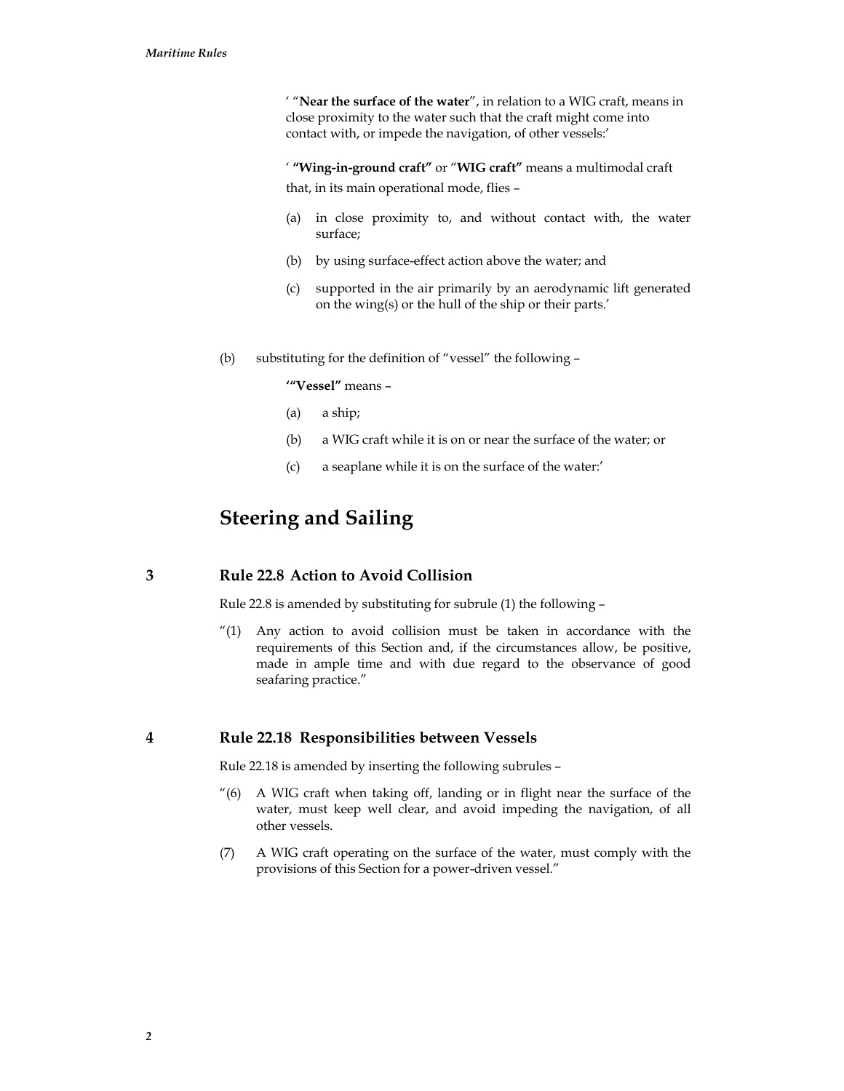' "**Near the surface of the water**", in relation to a WIG craft, means in close proximity to the water such that the craft might come into contact with, or impede the navigation, of other vessels:'

' **"Wing-in-ground craft"** or "**WIG craft"** means a multimodal craft that, in its main operational mode, flies –

- (a) in close proximity to, and without contact with, the water surface;
- (b) by using surface-effect action above the water; and
- (c) supported in the air primarily by an aerodynamic lift generated on the wing(s) or the hull of the ship or their parts.'
- (b) substituting for the definition of "vessel" the following –

**'"Vessel"** means –

- (a) a ship;
- (b) a WIG craft while it is on or near the surface of the water; or
- (c) a seaplane while it is on the surface of the water:'

# **Steering and Sailing**

**3 Rule 22.8 Action to Avoid Collision**

Rule 22.8 is amended by substituting for subrule (1) the following –

"(1) Any action to avoid collision must be taken in accordance with the requirements of this Section and, if the circumstances allow, be positive, made in ample time and with due regard to the observance of good seafaring practice."

#### **4 Rule 22.18 Responsibilities between Vessels**

Rule 22.18 is amended by inserting the following subrules –

- "(6) A WIG craft when taking off, landing or in flight near the surface of the water, must keep well clear, and avoid impeding the navigation, of all other vessels.
- (7) A WIG craft operating on the surface of the water, must comply with the provisions of this Section for a power-driven vessel."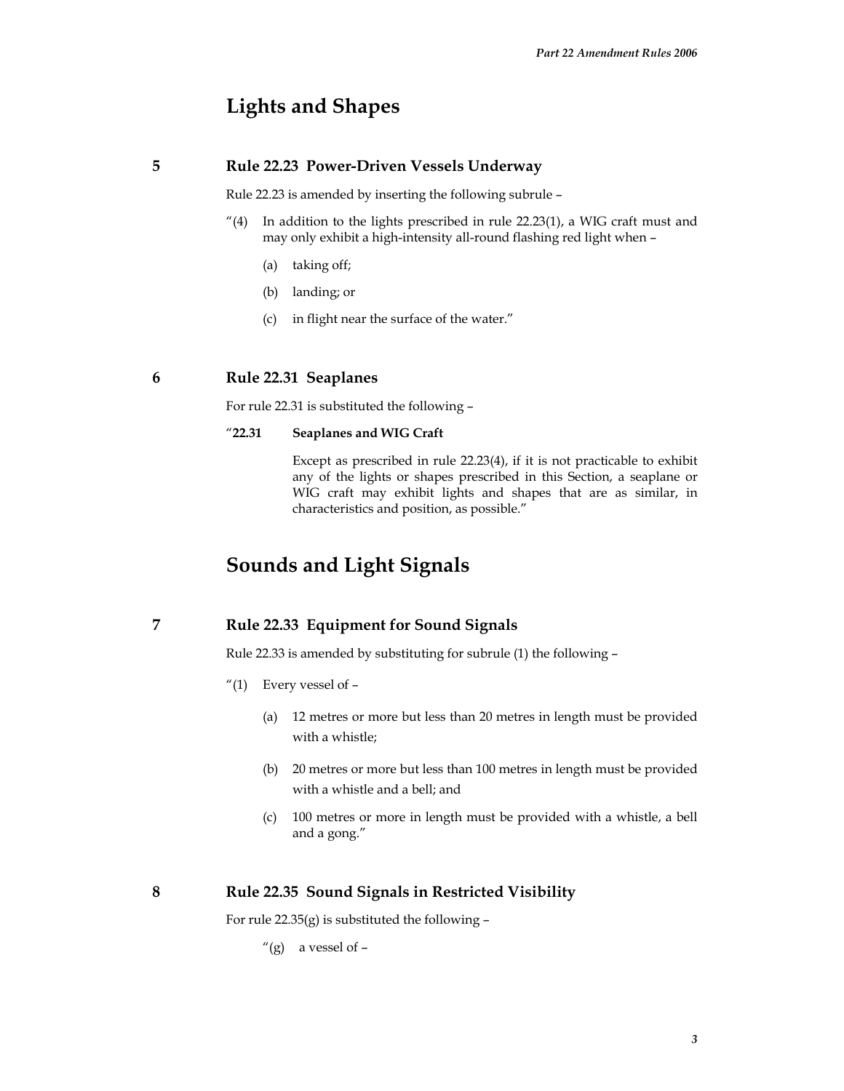# **Lights and Shapes**

## **5 Rule 22.23 Power-Driven Vessels Underway**

Rule 22.23 is amended by inserting the following subrule –

- $''(4)$  In addition to the lights prescribed in rule 22.23(1), a WIG craft must and may only exhibit a high-intensity all-round flashing red light when –
	- (a) taking off;
	- (b) landing; or
	- (c) in flight near the surface of the water."

#### **6 Rule 22.31 Seaplanes**

For rule 22.31 is substituted the following –

#### "**22.31 Seaplanes and WIG Craft**

Except as prescribed in rule 22.23(4), if it is not practicable to exhibit any of the lights or shapes prescribed in this Section, a seaplane or WIG craft may exhibit lights and shapes that are as similar, in characteristics and position, as possible."

# **Sounds and Light Signals**

## **7 Rule 22.33 Equipment for Sound Signals**

Rule 22.33 is amended by substituting for subrule (1) the following –

- "(1) Every vessel of  $-$ 
	- (a) 12 metres or more but less than 20 metres in length must be provided with a whistle;
	- (b) 20 metres or more but less than 100 metres in length must be provided with a whistle and a bell; and
	- (c) 100 metres or more in length must be provided with a whistle, a bell and a gong."

#### **8 Rule 22.35 Sound Signals in Restricted Visibility**

For rule  $22.35(g)$  is substituted the following  $-$ 

"(g) a vessel of  $-$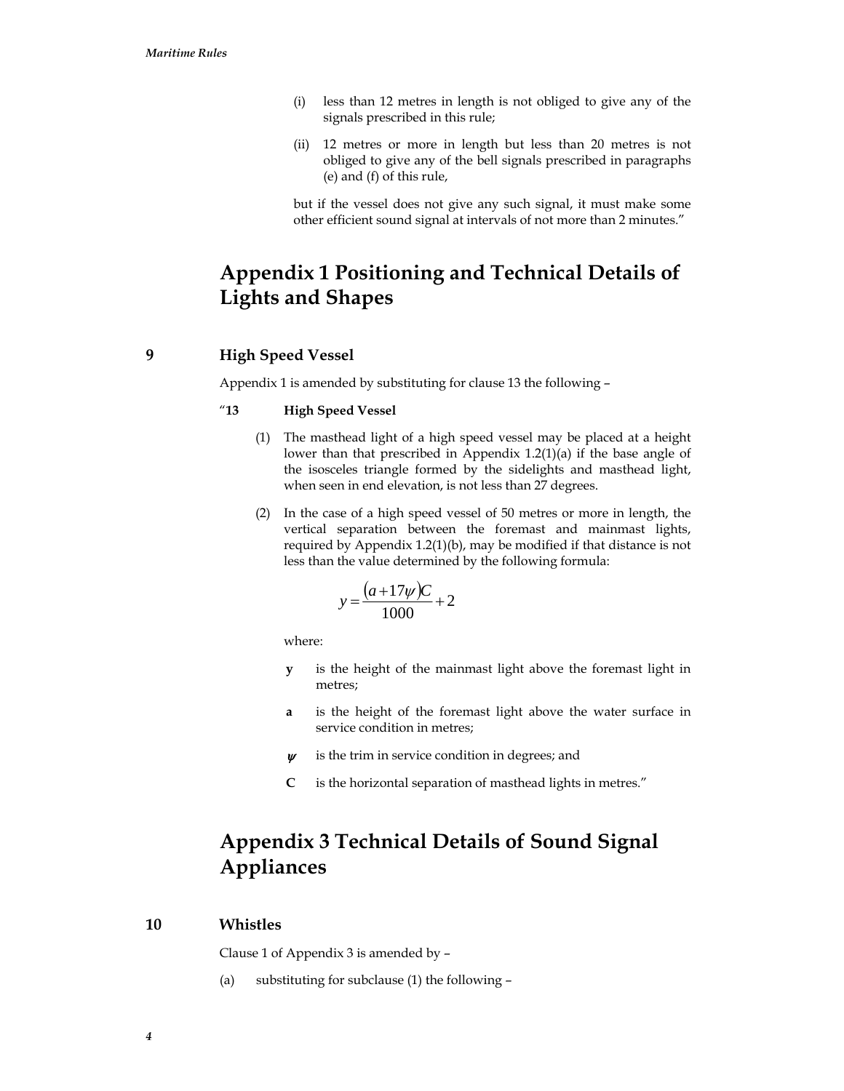- (i) less than 12 metres in length is not obliged to give any of the signals prescribed in this rule;
- (ii) 12 metres or more in length but less than 20 metres is not obliged to give any of the bell signals prescribed in paragraphs (e) and (f) of this rule,

but if the vessel does not give any such signal, it must make some other efficient sound signal at intervals of not more than 2 minutes."

# **Appendix 1 Positioning and Technical Details of Lights and Shapes**

## **9 High Speed Vessel**

Appendix 1 is amended by substituting for clause 13 the following –

#### "**13 High Speed Vessel**

- (1) The masthead light of a high speed vessel may be placed at a height lower than that prescribed in Appendix 1.2(1)(a) if the base angle of the isosceles triangle formed by the sidelights and masthead light, when seen in end elevation, is not less than 27 degrees.
- (2) In the case of a high speed vessel of 50 metres or more in length, the vertical separation between the foremast and mainmast lights, required by Appendix 1.2(1)(b), may be modified if that distance is not less than the value determined by the following formula:

$$
y = \frac{(a+17\psi)C}{1000} + 2
$$

where:

- **y** is the height of the mainmast light above the foremast light in metres;
- **a** is the height of the foremast light above the water surface in service condition in metres;
- $\psi$  is the trim in service condition in degrees; and
- **C** is the horizontal separation of masthead lights in metres."

# **Appendix 3 Technical Details of Sound Signal Appliances**

#### **10 Whistles**

Clause 1 of Appendix 3 is amended by –

(a) substituting for subclause (1) the following –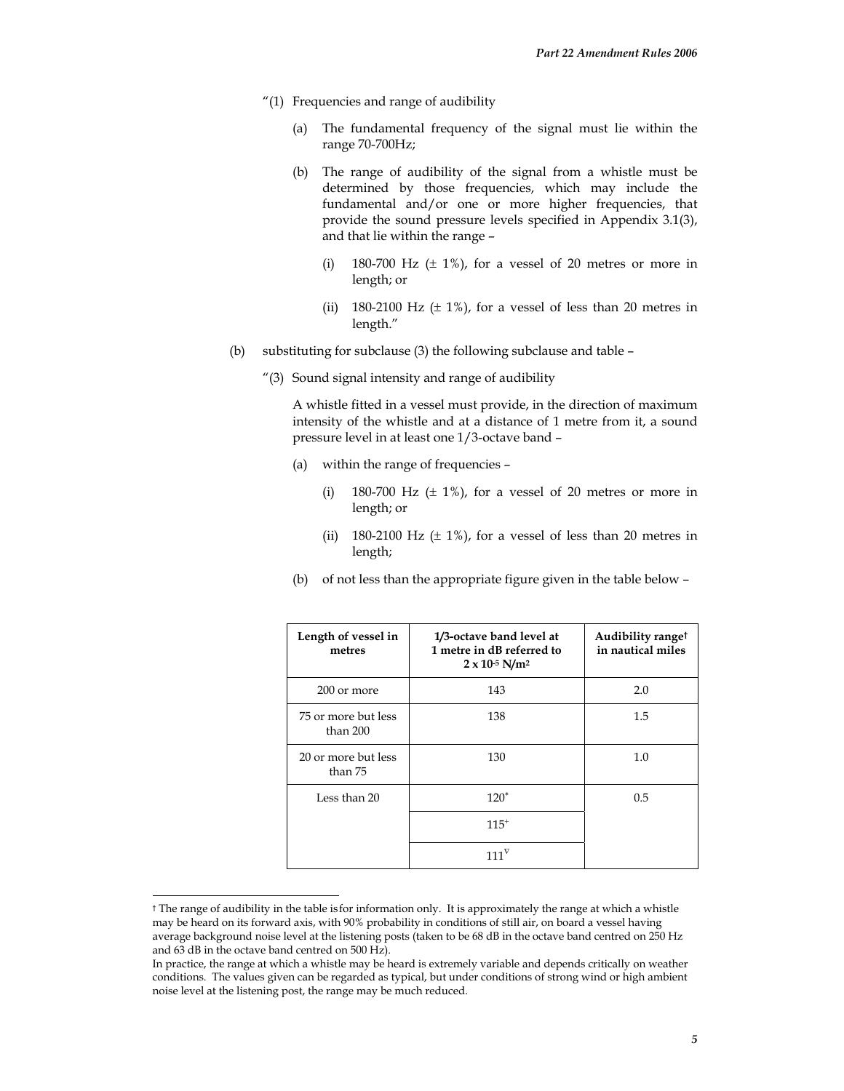- "(1) Frequencies and range of audibility
	- (a) The fundamental frequency of the signal must lie within the range 70-700Hz;
	- (b) The range of audibility of the signal from a whistle must be determined by those frequencies, which may include the fundamental and/or one or more higher frequencies, that provide the sound pressure levels specified in Appendix 3.1(3), and that lie within the range –
		- (i) 180-700 Hz  $(\pm 1\%)$ , for a vessel of 20 metres or more in length; or
		- (ii) 180-2100 Hz  $(\pm 1\%)$ , for a vessel of less than 20 metres in length."
- (b) substituting for subclause (3) the following subclause and table
	- "(3) Sound signal intensity and range of audibility

A whistle fitted in a vessel must provide, in the direction of maximum intensity of the whistle and at a distance of 1 metre from it, a sound pressure level in at least one 1/3-octave band –

- (a) within the range of frequencies
	- (i) 180-700 Hz  $(\pm 1\%)$ , for a vessel of 20 metres or more in length; or
	- (ii) 180-2100 Hz  $(\pm 1\%)$ , for a vessel of less than 20 metres in length;
- (b) of not less than the appropriate figure given in the table below –

| Length of vessel in<br>metres   | 1/3-octave band level at<br>1 metre in dB referred to<br>$2 \times 10^{-5}$ N/m <sup>2</sup> | Audibility ranget<br>in nautical miles |
|---------------------------------|----------------------------------------------------------------------------------------------|----------------------------------------|
| 200 or more                     | 143                                                                                          | 2.0                                    |
| 75 or more but less<br>than 200 | 138                                                                                          | 1.5                                    |
| 20 or more but less<br>than 75  | 130                                                                                          | 1.0                                    |
| Less than 20                    | $120^*$                                                                                      | 0.5                                    |
|                                 | $115^{+}$                                                                                    |                                        |
|                                 | $111^{\nabla}$                                                                               |                                        |

<sup>†</sup> The range of audibility in the table is for information only. It is approximately the range at which a whistle may be heard on its forward axis, with 90% probability in conditions of still air, on board a vessel having average background noise level at the listening posts (taken to be 68 dB in the octave band centred on 250 Hz and 63 dB in the octave band centred on 500 Hz).

l

In practice, the range at which a whistle may be heard is extremely variable and depends critically on weather conditions. The values given can be regarded as typical, but under conditions of strong wind or high ambient noise level at the listening post, the range may be much reduced.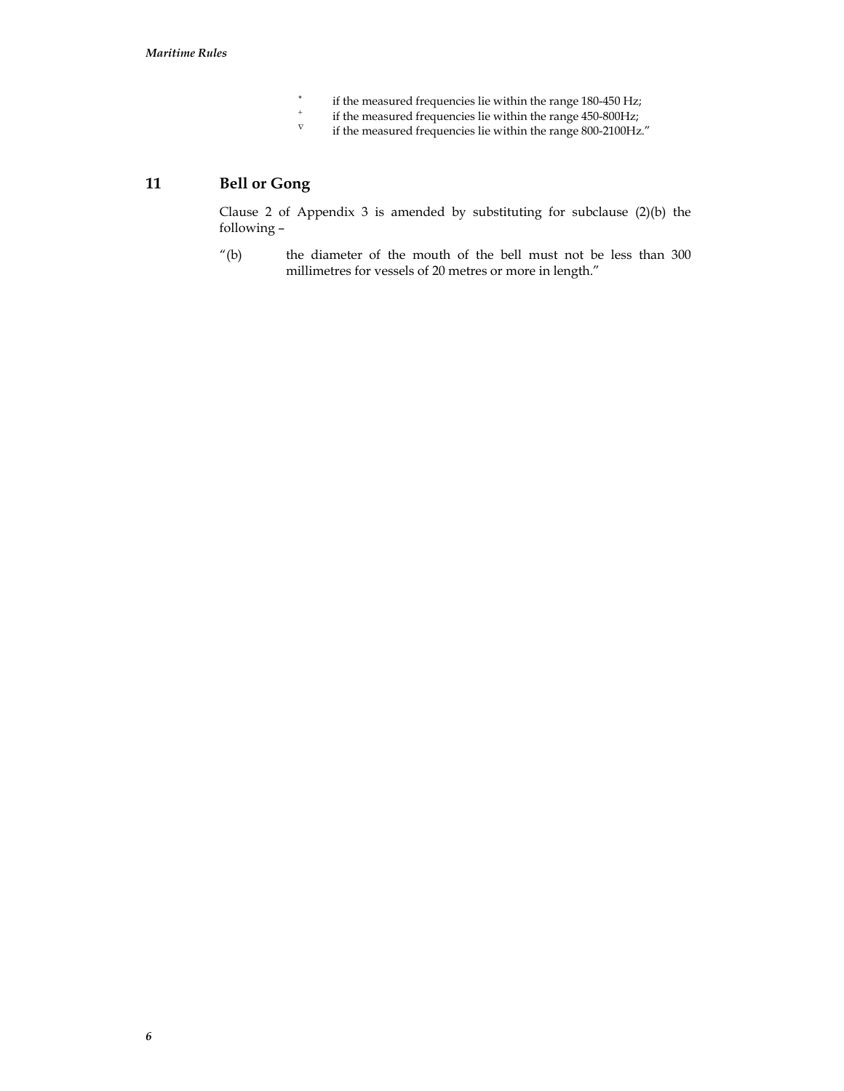- ∗
- <sup>\*</sup> if the measured frequencies lie within the range 180-450 Hz;<br><sup>+</sup> if the measured frequencies lie within the range 450-800Hz;
- $\nabla$  if the measured frequencies lie within the range 800-2100Hz."

# **11 Bell or Gong**

Clause 2 of Appendix 3 is amended by substituting for subclause (2)(b) the following –

"(b) the diameter of the mouth of the bell must not be less than 300 millimetres for vessels of 20 metres or more in length."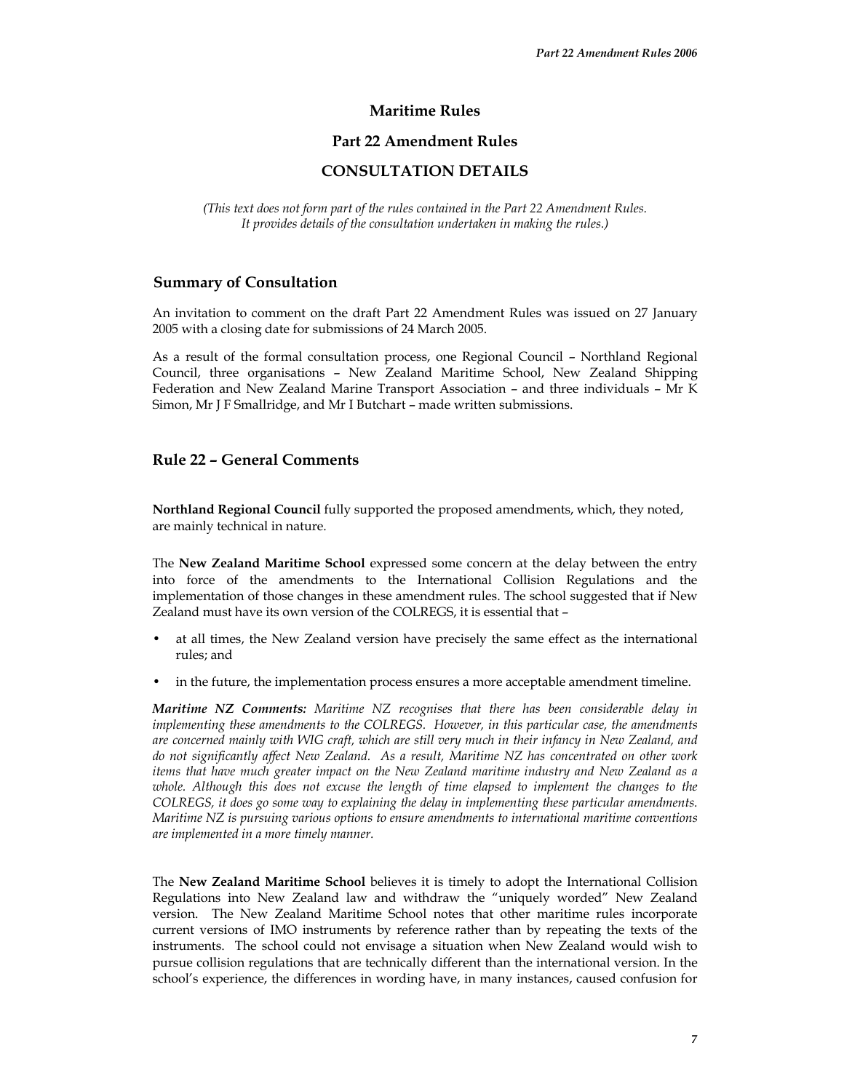## **Maritime Rules**

#### **Part 22 Amendment Rules**

#### **CONSULTATION DETAILS**

*(This text does not form part of the rules contained in the Part 22 Amendment Rules. It provides details of the consultation undertaken in making the rules.)* 

#### **Summary of Consultation**

An invitation to comment on the draft Part 22 Amendment Rules was issued on 27 January 2005 with a closing date for submissions of 24 March 2005.

As a result of the formal consultation process, one Regional Council – Northland Regional Council, three organisations – New Zealand Maritime School, New Zealand Shipping Federation and New Zealand Marine Transport Association – and three individuals – Mr K Simon, Mr J F Smallridge, and Mr I Butchart – made written submissions.

#### **Rule 22 – General Comments**

**Northland Regional Council** fully supported the proposed amendments, which, they noted, are mainly technical in nature.

The **New Zealand Maritime School** expressed some concern at the delay between the entry into force of the amendments to the International Collision Regulations and the implementation of those changes in these amendment rules. The school suggested that if New Zealand must have its own version of the COLREGS, it is essential that –

- at all times, the New Zealand version have precisely the same effect as the international rules; and
- in the future, the implementation process ensures a more acceptable amendment timeline.

*Maritime NZ Comments: Maritime NZ recognises that there has been considerable delay in implementing these amendments to the COLREGS. However, in this particular case, the amendments are concerned mainly with WIG craft, which are still very much in their infancy in New Zealand, and do not significantly affect New Zealand. As a result, Maritime NZ has concentrated on other work items that have much greater impact on the New Zealand maritime industry and New Zealand as a*  whole. Although this does not excuse the length of time elapsed to implement the changes to the *COLREGS, it does go some way to explaining the delay in implementing these particular amendments. Maritime NZ is pursuing various options to ensure amendments to international maritime conventions are implemented in a more timely manner.* 

The **New Zealand Maritime School** believes it is timely to adopt the International Collision Regulations into New Zealand law and withdraw the "uniquely worded" New Zealand version. The New Zealand Maritime School notes that other maritime rules incorporate current versions of IMO instruments by reference rather than by repeating the texts of the instruments. The school could not envisage a situation when New Zealand would wish to pursue collision regulations that are technically different than the international version. In the school's experience, the differences in wording have, in many instances, caused confusion for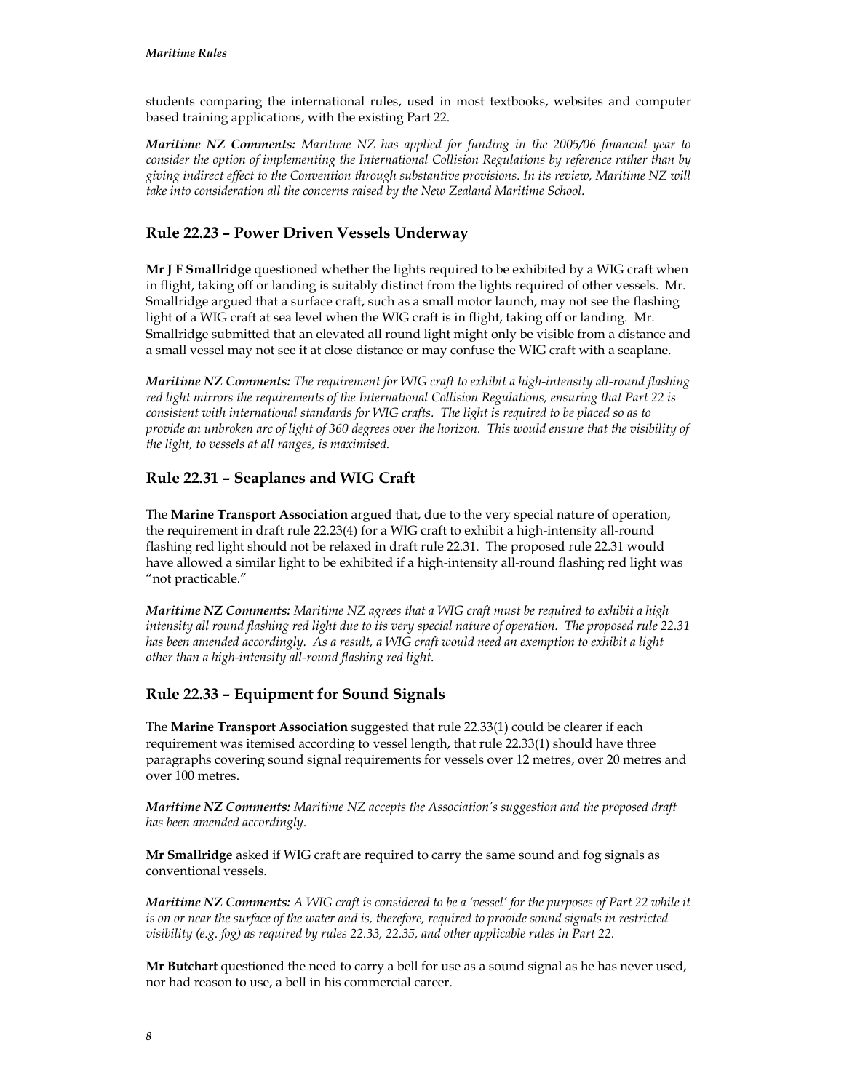students comparing the international rules, used in most textbooks, websites and computer based training applications, with the existing Part 22.

*Maritime NZ Comments: Maritime NZ has applied for funding in the 2005/06 financial year to consider the option of implementing the International Collision Regulations by reference rather than by giving indirect effect to the Convention through substantive provisions. In its review, Maritime NZ will take into consideration all the concerns raised by the New Zealand Maritime School.* 

## **Rule 22.23 – Power Driven Vessels Underway**

**Mr J F Smallridge** questioned whether the lights required to be exhibited by a WIG craft when in flight, taking off or landing is suitably distinct from the lights required of other vessels. Mr. Smallridge argued that a surface craft, such as a small motor launch, may not see the flashing light of a WIG craft at sea level when the WIG craft is in flight, taking off or landing. Mr. Smallridge submitted that an elevated all round light might only be visible from a distance and a small vessel may not see it at close distance or may confuse the WIG craft with a seaplane.

*Maritime NZ Comments: The requirement for WIG craft to exhibit a high-intensity all-round flashing red light mirrors the requirements of the International Collision Regulations, ensuring that Part 22 is consistent with international standards for WIG crafts. The light is required to be placed so as to provide an unbroken arc of light of 360 degrees over the horizon. This would ensure that the visibility of the light, to vessels at all ranges, is maximised.* 

## **Rule 22.31 – Seaplanes and WIG Craft**

The **Marine Transport Association** argued that, due to the very special nature of operation, the requirement in draft rule 22.23(4) for a WIG craft to exhibit a high-intensity all-round flashing red light should not be relaxed in draft rule 22.31. The proposed rule 22.31 would have allowed a similar light to be exhibited if a high-intensity all-round flashing red light was "not practicable."

*Maritime NZ Comments: Maritime NZ agrees that a WIG craft must be required to exhibit a high intensity all round flashing red light due to its very special nature of operation. The proposed rule 22.31 has been amended accordingly. As a result, a WIG craft would need an exemption to exhibit a light other than a high-intensity all-round flashing red light.* 

## **Rule 22.33 – Equipment for Sound Signals**

The **Marine Transport Association** suggested that rule 22.33(1) could be clearer if each requirement was itemised according to vessel length, that rule 22.33(1) should have three paragraphs covering sound signal requirements for vessels over 12 metres, over 20 metres and over 100 metres.

*Maritime NZ Comments: Maritime NZ accepts the Association's suggestion and the proposed draft has been amended accordingly.* 

**Mr Smallridge** asked if WIG craft are required to carry the same sound and fog signals as conventional vessels.

*Maritime NZ Comments: A WIG craft is considered to be a 'vessel' for the purposes of Part 22 while it is on or near the surface of the water and is, therefore, required to provide sound signals in restricted visibility (e.g. fog) as required by rules 22.33, 22.35, and other applicable rules in Part 22.* 

**Mr Butchart** questioned the need to carry a bell for use as a sound signal as he has never used, nor had reason to use, a bell in his commercial career.